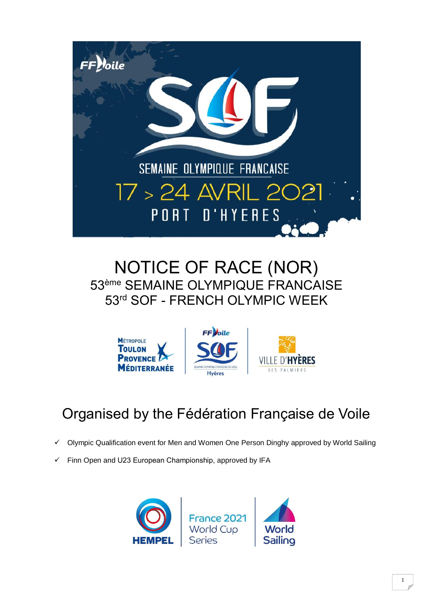

### NOTICE OF RACE (NOR) 53 ème SEMAINE OLYMPIQUE FRANCAISE 53<sup>rd</sup> SOF - FRENCH OLYMPIC WEEK



## Organised by the Fédération Française de Voile

- $\checkmark$  Olympic Qualification event for Men and Women One Person Dinghy approved by World Sailing
- $\checkmark$  Finn Open and U23 European Championship, approved by IFA

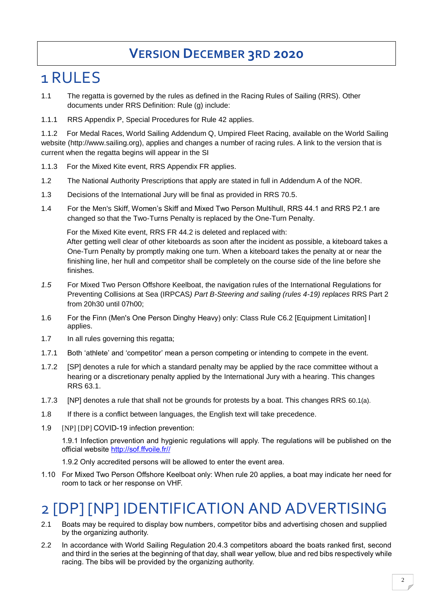#### **VERSION DECEMBER 3RD 2020**

#### 1 RULES

- 1.1 The regatta is governed by the rules as defined in the Racing Rules of Sailing (RRS). Other documents under RRS Definition: Rule (g) include:
- 1.1.1 RRS Appendix P, Special Procedures for Rule 42 applies.

1.1.2 For Medal Races, World Sailing Addendum Q, Umpired Fleet Racing, available on the World Sailing website [\(http://www.sailing.org\)](http://www.sailing.org/), applies and changes a number of racing rules. A link to the version that is current when the regatta begins will appear in the SI

- 1.1.3 For the Mixed Kite event, RRS Appendix FR applies.
- 1.2 The National Authority Prescriptions that apply are stated in full in Addendum A of the NOR.
- 1.3 Decisions of the International Jury will be final as provided in RRS 70.5.
- 1.4 For the Men's Skiff, Women's Skiff and Mixed Two Person Multihull, RRS 44.1 and RRS P2.1 are changed so that the Two-Turns Penalty is replaced by the One-Turn Penalty.

For the Mixed Kite event, RRS FR 44.2 is deleted and replaced with: After getting well clear of other kiteboards as soon after the incident as possible, a kiteboard takes a One-Turn Penalty by promptly making one turn. When a kiteboard takes the penalty at or near the finishing line, her hull and competitor shall be completely on the course side of the line before she finishes.

- *1.5* For Mixed Two Person Offshore Keelboat, the navigation rules of the International Regulations for Preventing Collisions at Sea (IRPCAS*) Part B-Steering and sailing (rules 4-19) replaces* RRS Part 2 from 20h30 until 07h00;
- 1.6 For the Finn (Men's One Person Dinghy Heavy) only: Class Rule C6.2 [Equipment Limitation] l applies.
- 1.7 In all rules governing this regatta;
- 1.7.1 Both 'athlete' and 'competitor' mean a person competing or intending to compete in the event.
- 1.7.2 [SP] denotes a rule for which a standard penalty may be applied by the race committee without a hearing or a discretionary penalty applied by the International Jury with a hearing. This changes RRS 63.1.
- 1.7.3 [NP] denotes a rule that shall not be grounds for protests by a boat. This changes RRS 60.1(a).
- 1.8 If there is a conflict between languages, the English text will take precedence.
- 1.9 [NP] [DP] COVID-19 infection prevention:

1.9.1 Infection prevention and hygienic regulations will apply. The regulations will be published on the official website http://sof.ffvoile.fr//

- 1.9.2 Only accredited persons will be allowed to enter the event area.
- 1.10 For Mixed Two Person Offshore Keelboat only: When rule 20 applies, a boat may indicate her need for room to tack or her response on VHF.

## 2 [DP] [NP] IDENTIFICATION AND ADVERTISING

- 2.1 Boats may be required to display bow numbers, competitor bibs and advertising chosen and supplied by the organizing authority.
- 2.2 In accordance with World Sailing Regulation 20.4.3 competitors aboard the boats ranked first, second and third in the series at the beginning of that day, shall wear yellow, blue and red bibs respectively while racing. The bibs will be provided by the organizing authority.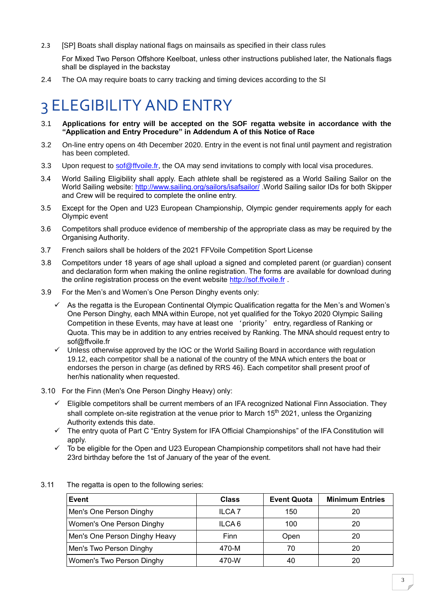2.3 [SP] Boats shall display national flags on mainsails as specified in their class rules

For Mixed Two Person Offshore Keelboat, unless other instructions published later, the Nationals flags shall be displayed in the backstay

2.4 The OA may require boats to carry tracking and timing devices according to the SI

## 3 ELEGIBILITY AND ENTRY

- 3.1 **Applications for entry will be accepted on the SOF regatta website in accordance with the "Application and Entry Procedure" in Addendum A of this Notice of Race**
- 3.2 On-line entry opens on 4th December 2020. Entry in the event is not final until payment and registration has been completed.
- 3.3 Upon request to sof @ffvoile.fr, the OA may send invitations to comply with local visa procedures.
- 3.4 World Sailing Eligibility shall apply. Each athlete shall be registered as a World Sailing Sailor on the World Sailing website:<http://www.sailing.org/sailors/isafsailor/> .World Sailing sailor IDs for both Skipper and Crew will be required to complete the online entry.
- 3.5 Except for the Open and U23 European Championship, Olympic gender requirements apply for each Olympic event
- 3.6 Competitors shall produce evidence of membership of the appropriate class as may be required by the Organising Authority.
- 3.7 French sailors shall be holders of the 2021 FFVoile Competition Sport License
- 3.8 Competitors under 18 years of age shall upload a signed and completed parent (or guardian) consent and declaration form when making the online registration. The forms are available for download during the online registration process on the event website [http://sof.ffvoile.fr](http://sof.ffvoile.fr/).
- 3.9 For the Men's and Women's One Person Dinghy events only:
	- $\checkmark$  As the regatta is the European Continental Olympic Qualification regatta for the Men's and Women's One Person Dinghy, each MNA within Europe, not yet qualified for the Tokyo 2020 Olympic Sailing Competition in these Events, may have at least one 'priority' entry, regardless of Ranking or Quota. This may be in addition to any entries received by Ranking. The MNA should request entry to sof@ffvoile.fr
	- $\checkmark$  Unless otherwise approved by the IOC or the World Sailing Board in accordance with regulation 19.12, each competitor shall be a national of the country of the MNA which enters the boat or endorses the person in charge (as defined by RRS 46). Each competitor shall present proof of her/his nationality when requested.
- 3.10 For the Finn (Men's One Person Dinghy Heavy) only:
	- $\checkmark$  Eligible competitors shall be current members of an IFA recognized National Finn Association. They shall complete on-site registration at the venue prior to March 15<sup>th</sup> 2021, unless the Organizing Authority extends this date.
	- $\checkmark$  The entry quota of Part C "Entry System for IFA Official Championships" of the IFA Constitution will apply.
	- $\checkmark$  To be eligible for the Open and U23 European Championship competitors shall not have had their 23rd birthday before the 1st of January of the year of the event.

| Event                            | <b>Class</b>      | <b>Event Quota</b> | <b>Minimum Entries</b> |
|----------------------------------|-------------------|--------------------|------------------------|
| Men's One Person Dinghy          | <b>ILCA7</b>      | 150                | 20                     |
| Women's One Person Dinghy        | ILCA <sub>6</sub> | 100                | 20                     |
| Men's One Person Dinghy Heavy    | Finn              | Open               | 20                     |
| Men's Two Person Dinghy          | 470-M             | 70                 | 20                     |
| <b>Women's Two Person Dinghy</b> | 470-W             | 40                 | 20                     |

3.11 The regatta is open to the following series: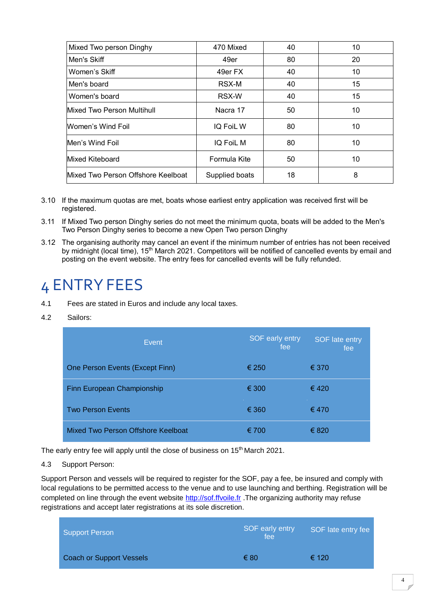| Mixed Two person Dinghy            | 470 Mixed      | 40 | 10 |
|------------------------------------|----------------|----|----|
| Men's Skiff                        | 49er           | 80 | 20 |
| Women's Skiff                      | 49er FX        | 40 | 10 |
| Men's board                        | RSX-M          | 40 | 15 |
| Women's board                      | <b>RSX-W</b>   | 40 | 15 |
| Mixed Two Person Multihull         | Nacra 17       | 50 | 10 |
| Women's Wind Foil                  | IQ FoiL W      | 80 | 10 |
| Men's Wind Foil                    | IQ FoiL M      | 80 | 10 |
| Mixed Kiteboard                    | Formula Kite   | 50 | 10 |
| Mixed Two Person Offshore Keelboat | Supplied boats | 18 | 8  |

- 3.10 If the maximum quotas are met, boats whose earliest entry application was received first will be registered.
- 3.11 If Mixed Two person Dinghy series do not meet the minimum quota, boats will be added to the Men's Two Person Dinghy series to become a new Open Two person Dinghy
- 3.12 The organising authority may cancel an event if the minimum number of entries has not been received by midnight (local time), 15<sup>th</sup> March 2021. Competitors will be notified of cancelled events by email and posting on the event website. The entry fees for cancelled events will be fully refunded.

# 4 ENTRY FEES

- 4.1 Fees are stated in Euros and include any local taxes.
- 4.2 Sailors:

| Event                              | <b>SOF</b> early entry<br>fee | <b>SOF</b> late entry<br>fee |
|------------------------------------|-------------------------------|------------------------------|
| One Person Events (Except Finn)    | € 250                         | € 370                        |
| Finn European Championship         | € 300                         | € 420                        |
| <b>Two Person Events</b>           | € 360                         | €470                         |
| Mixed Two Person Offshore Keelboat | € 700                         | € 820                        |

The early entry fee will apply until the close of business on 15<sup>th</sup> March 2021.

4.3 Support Person:

Support Person and vessels will be required to register for the SOF, pay a fee, be insured and comply with local regulations to be permitted access to the venue and to use launching and berthing. Registration will be completed on line through the event website [http://sof.ffvoile.fr](http://sof.ffvoile.fr/) .The organizing authority may refuse registrations and accept later registrations at its sole discretion.

| Support Person           | SOF early entry<br>fee | SOF late entry fee |
|--------------------------|------------------------|--------------------|
| Coach or Support Vessels | € 80                   | € 120              |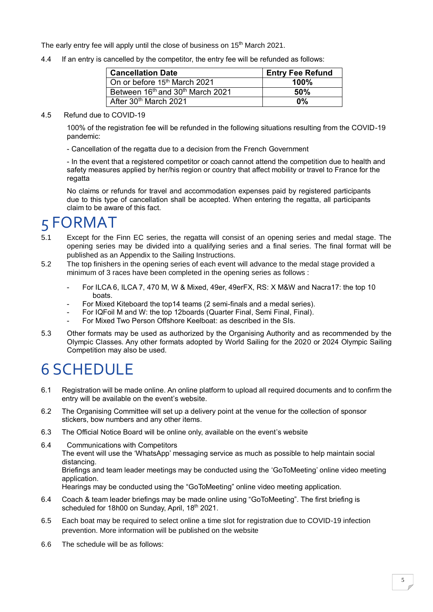The early entry fee will apply until the close of business on 15<sup>th</sup> March 2021.

4.4 If an entry is cancelled by the competitor, the entry fee will be refunded as follows:

| <b>Cancellation Date</b>                                 | <b>Entry Fee Refund</b> |
|----------------------------------------------------------|-------------------------|
| On or before 15 <sup>th</sup> March 2021                 | 100%                    |
| Between 16 <sup>th</sup> and 30 <sup>th</sup> March 2021 | 50%                     |
| After 30 <sup>th</sup> March 2021                        | $0\%$                   |

#### 4.5 Refund due to COVID-19

100% of the registration fee will be refunded in the following situations resulting from the COVID-19 pandemic:

- Cancellation of the regatta due to a decision from the French Government

- In the event that a registered competitor or coach cannot attend the competition due to health and safety measures applied by her/his region or country that affect mobility or travel to France for the regatta

No claims or refunds for travel and accommodation expenses paid by registered participants due to this type of cancellation shall be accepted. When entering the regatta, all participants claim to be aware of this fact.

## 5 FORMAT

- 5.1 Except for the Finn EC series, the regatta will consist of an opening series and medal stage. The opening series may be divided into a qualifying series and a final series. The final format will be published as an Appendix to the Sailing Instructions.
- 5.2 The top finishers in the opening series of each event will advance to the medal stage provided a minimum of 3 races have been completed in the opening series as follows :
	- For ILCA 6, ILCA 7, 470 M, W & Mixed, 49er, 49erFX, RS: X M&W and Nacra17: the top 10 boats.
	- For Mixed Kiteboard the top14 teams (2 semi-finals and a medal series).
	- For IQFoil M and W: the top 12boards (Quarter Final, Semi Final, Final).
	- For Mixed Two Person Offshore Keelboat: as described in the SIs.
- 5.3 Other formats may be used as authorized by the Organising Authority and as recommended by the Olympic Classes. Any other formats adopted by World Sailing for the 2020 or 2024 Olympic Sailing Competition may also be used.

## 6 SCHEDULE

- 6.1 Registration will be made online. An online platform to upload all required documents and to confirm the entry will be available on the event's website.
- 6.2 The Organising Committee will set up a delivery point at the venue for the collection of sponsor stickers, bow numbers and any other items.
- 6.3 The Official Notice Board will be online only, available on the event's website
- 6.4 Communications with Competitors The event will use the 'WhatsApp' messaging service as much as possible to help maintain social distancing. Briefings and team leader meetings may be conducted using the 'GoToMeeting' online video meeting application. Hearings may be conducted using the "GoToMeeting" online video meeting application.
- 6.4 Coach & team leader briefings may be made online using "GoToMeeting". The first briefing is scheduled for 18h00 on Sunday, April, 18<sup>th</sup> 2021.
- 6.5 Each boat may be required to select online a time slot for registration due to COVID-19 infection prevention. More information will be published on the website
- 6.6 The schedule will be as follows: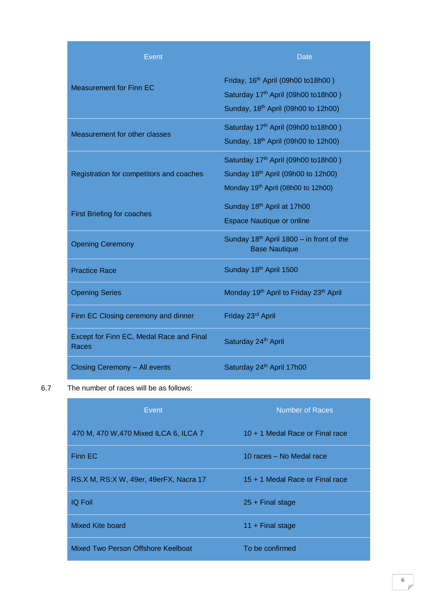| <b>Event</b>                                      | <b>Date</b>                                                                                                                              |
|---------------------------------------------------|------------------------------------------------------------------------------------------------------------------------------------------|
| <b>Measurement for Finn EC</b>                    | Friday, 16 <sup>th</sup> April (09h00 to18h00)<br>Saturday 17th April (09h00 to18h00)<br>Sunday, 18 <sup>th</sup> April (09h00 to 12h00) |
| Measurement for other classes                     | Saturday 17th April (09h00 to 18h00)<br>Sunday, 18 <sup>th</sup> April (09h00 to 12h00)                                                  |
| Registration for competitors and coaches          | Saturday 17th April (09h00 to18h00)<br>Sunday 18th April (09h00 to 12h00)<br>Monday 19 <sup>th</sup> April (08h00 to 12h00)              |
| <b>First Briefing for coaches</b>                 | Sunday 18th April at 17h00<br><b>Espace Nautique or online</b>                                                                           |
| <b>Opening Ceremony</b>                           | Sunday $18th$ April 1800 – in front of the<br><b>Base Nautique</b>                                                                       |
| <b>Practice Race</b>                              | Sunday 18th April 1500                                                                                                                   |
| <b>Opening Series</b>                             | Monday 19 <sup>th</sup> April to Friday 23 <sup>th</sup> April                                                                           |
| Finn EC Closing ceremony and dinner               | Friday 23rd April                                                                                                                        |
| Except for Finn EC, Medal Race and Final<br>Races | Saturday 24th April                                                                                                                      |
| Closing Ceremony - All events                     | Saturday 24th April 17h00                                                                                                                |

#### 6.7 The number of races will be as follows:

| Event                                  | <b>Number of Races</b>          |
|----------------------------------------|---------------------------------|
| 470 M, 470 W, 470 Mixed ILCA 6, ILCA 7 | 10 + 1 Medal Race or Final race |
| Finn EC                                | 10 races - No Medal race        |
| RS.X M, RS:X W, 49er, 49erFX, Nacra 17 | 15 + 1 Medal Race or Final race |
| <b>IQ Foil</b>                         | $25 +$ Final stage              |
| Mixed Kite board                       | 11 + Final stage                |
| Mixed Two Person Offshore Keelboat     | To be confirmed                 |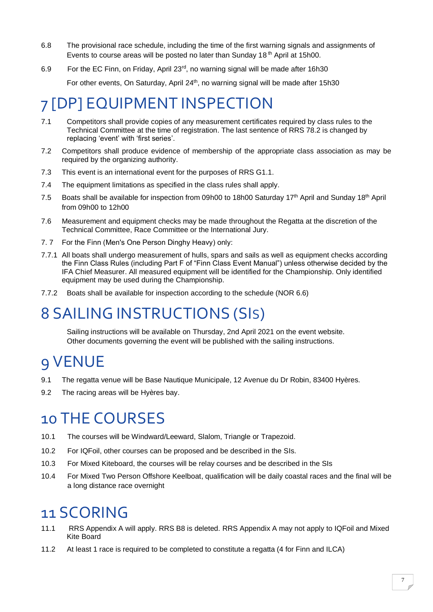- 6.8 The provisional race schedule, including the time of the first warning signals and assignments of Events to course areas will be posted no later than Sunday 18<sup>th</sup> April at 15h00.
- 6.9 For the EC Finn, on Friday, April  $23<sup>rd</sup>$ , no warning signal will be made after 16h30

For other events, On Saturday, April 24<sup>th</sup>, no warning signal will be made after 15h30

## 7 [DP] EQUIPMENT INSPECTION

- 7.1 Competitors shall provide copies of any measurement certificates required by class rules to the Technical Committee at the time of registration. The last sentence of RRS 78.2 is changed by replacing 'event' with 'first series'.
- 7.2 Competitors shall produce evidence of membership of the appropriate class association as may be required by the organizing authority.
- 7.3 This event is an international event for the purposes of RRS G1.1.
- 7.4 The equipment limitations as specified in the class rules shall apply.
- 7.5 Boats shall be available for inspection from 09h00 to 18h00 Saturday 17<sup>th</sup> April and Sunday 18<sup>th</sup> April from 09h00 to 12h00
- 7.6 Measurement and equipment checks may be made throughout the Regatta at the discretion of the Technical Committee, Race Committee or the International Jury.
- 7. 7 For the Finn (Men's One Person Dinghy Heavy) only:
- 7.7.1 All boats shall undergo measurement of hulls, spars and sails as well as equipment checks according the Finn Class Rules (including Part F of "Finn Class Event Manual") unless otherwise decided by the IFA Chief Measurer. All measured equipment will be identified for the Championship. Only identified equipment may be used during the Championship.
- 7.7.2 Boats shall be available for inspection according to the schedule (NOR 6.6)

## 8 SAILING INSTRUCTIONS (SIS)

Sailing instructions will be available on Thursday, 2nd April 2021 on the event website. Other documents governing the event will be published with the sailing instructions.

#### 9 VENUE

- 9.1 The regatta venue will be Base Nautique Municipale, 12 Avenue du Dr Robin, 83400 Hyères.
- 9.2 The racing areas will be Hyères bay.

#### 10 THE COURSES

- 10.1 The courses will be Windward/Leeward, Slalom, Triangle or Trapezoid.
- 10.2 For IQFoil, other courses can be proposed and be described in the SIs.
- 10.3 For Mixed Kiteboard, the courses will be relay courses and be described in the SIs
- 10.4 For Mixed Two Person Offshore Keelboat, qualification will be daily coastal races and the final will be a long distance race overnight

## 11 SCORING

- 11.1 RRS Appendix A will apply. RRS B8 is deleted. RRS Appendix A may not apply to IQFoil and Mixed Kite Board
- 11.2 At least 1 race is required to be completed to constitute a regatta (4 for Finn and ILCA)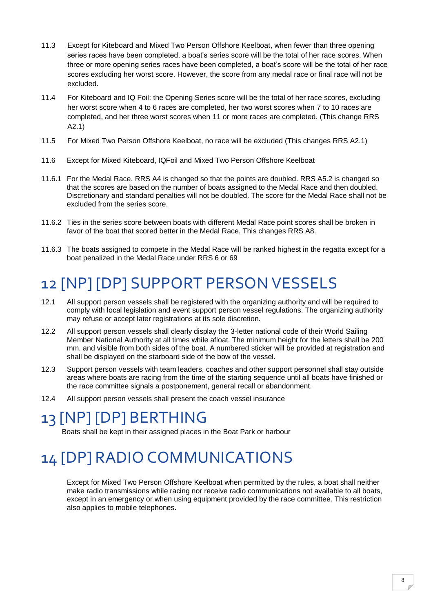- 11.3 Except for Kiteboard and Mixed Two Person Offshore Keelboat, when fewer than three opening series races have been completed, a boat's series score will be the total of her race scores. When three or more opening series races have been completed, a boat's score will be the total of her race scores excluding her worst score. However, the score from any medal race or final race will not be excluded.
- 11.4 For Kiteboard and IQ Foil: the Opening Series score will be the total of her race scores, excluding her worst score when 4 to 6 races are completed, her two worst scores when 7 to 10 races are completed, and her three worst scores when 11 or more races are completed. (This change RRS A2.1)
- 11.5 For Mixed Two Person Offshore Keelboat, no race will be excluded (This changes RRS A2.1)
- 11.6 Except for Mixed Kiteboard, IQFoil and Mixed Two Person Offshore Keelboat
- 11.6.1 For the Medal Race, RRS A4 is changed so that the points are doubled. RRS A5.2 is changed so that the scores are based on the number of boats assigned to the Medal Race and then doubled. Discretionary and standard penalties will not be doubled. The score for the Medal Race shall not be excluded from the series score.
- 11.6.2 Ties in the series score between boats with different Medal Race point scores shall be broken in favor of the boat that scored better in the Medal Race. This changes RRS A8.
- 11.6.3 The boats assigned to compete in the Medal Race will be ranked highest in the regatta except for a boat penalized in the Medal Race under RRS 6 or 69

## 12 [NP] [DP] SUPPORT PERSON VESSELS

- 12.1 All support person vessels shall be registered with the organizing authority and will be required to comply with local legislation and event support person vessel regulations. The organizing authority may refuse or accept later registrations at its sole discretion.
- 12.2 All support person vessels shall clearly display the 3-letter national code of their World Sailing Member National Authority at all times while afloat. The minimum height for the letters shall be 200 mm. and visible from both sides of the boat. A numbered sticker will be provided at registration and shall be displayed on the starboard side of the bow of the vessel.
- 12.3 Support person vessels with team leaders, coaches and other support personnel shall stay outside areas where boats are racing from the time of the starting sequence until all boats have finished or the race committee signals a postponement, general recall or abandonment.
- 12.4 All support person vessels shall present the coach vessel insurance

## 13 [NP] [DP] BERTHING

Boats shall be kept in their assigned places in the Boat Park or harbour

## 14 [DP] RADIO COMMUNICATIONS

Except for Mixed Two Person Offshore Keelboat when permitted by the rules, a boat shall neither make radio transmissions while racing nor receive radio communications not available to all boats, except in an emergency or when using equipment provided by the race committee. This restriction also applies to mobile telephones.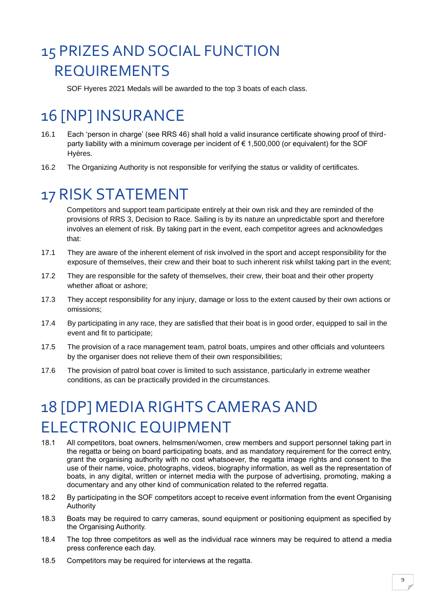# 15 PRIZES AND SOCIAL FUNCTION REQUIREMENTS

SOF Hyeres 2021 Medals will be awarded to the top 3 boats of each class.

# 16 [NP] INSURANCE

- 16.1 Each 'person in charge' (see RRS 46) shall hold a valid insurance certificate showing proof of thirdparty liability with a minimum coverage per incident of € 1,500,000 (or equivalent) for the SOF Hyères.
- 16.2 The Organizing Authority is not responsible for verifying the status or validity of certificates.

## 17 RISK STATEMENT

Competitors and support team participate entirely at their own risk and they are reminded of the provisions of RRS 3, Decision to Race. Sailing is by its nature an unpredictable sport and therefore involves an element of risk. By taking part in the event, each competitor agrees and acknowledges that:

- 17.1 They are aware of the inherent element of risk involved in the sport and accept responsibility for the exposure of themselves, their crew and their boat to such inherent risk whilst taking part in the event;
- 17.2 They are responsible for the safety of themselves, their crew, their boat and their other property whether afloat or ashore;
- 17.3 They accept responsibility for any injury, damage or loss to the extent caused by their own actions or omissions;
- 17.4 By participating in any race, they are satisfied that their boat is in good order, equipped to sail in the event and fit to participate;
- 17.5 The provision of a race management team, patrol boats, umpires and other officials and volunteers by the organiser does not relieve them of their own responsibilities;
- 17.6 The provision of patrol boat cover is limited to such assistance, particularly in extreme weather conditions, as can be practically provided in the circumstances.

# 18 [DP] MEDIA RIGHTS CAMERAS AND ELECTRONIC EQUIPMENT

- 18.1 All competitors, boat owners, helmsmen/women, crew members and support personnel taking part in the regatta or being on board participating boats, and as mandatory requirement for the correct entry, grant the organising authority with no cost whatsoever, the regatta image rights and consent to the use of their name, voice, photographs, videos, biography information, as well as the representation of boats, in any digital, written or internet media with the purpose of advertising, promoting, making a documentary and any other kind of communication related to the referred regatta.
- 18.2 By participating in the SOF competitors accept to receive event information from the event Organising Authority
- 18.3 Boats may be required to carry cameras, sound equipment or positioning equipment as specified by the Organising Authority.
- 18.4 The top three competitors as well as the individual race winners may be required to attend a media press conference each day.
- 18.5 Competitors may be required for interviews at the regatta.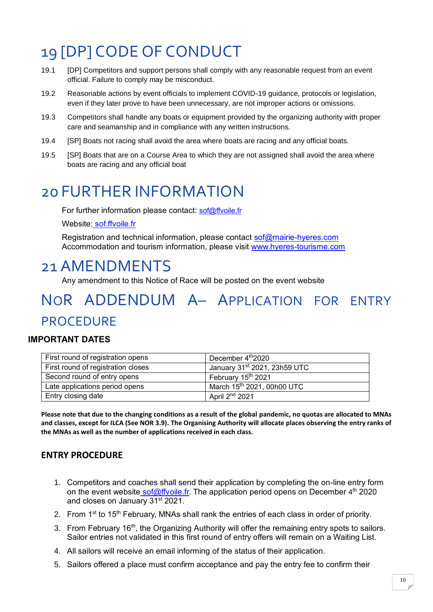# 19 [DP] CODE OF CONDUCT

- 19.1 [DP] Competitors and support persons shall comply with any reasonable request from an event official. Failure to comply may be misconduct.
- 19.2 Reasonable actions by event officials to implement COVID-19 guidance, protocols or legislation, even if they later prove to have been unnecessary, are not improper actions or omissions.
- 19.3 Competitors shall handle any boats or equipment provided by the organizing authority with proper care and seamanship and in compliance with any written instructions.
- 19.4 [SP] Boats not racing shall avoid the area where boats are racing and any official boats.
- 19.5 [SP] Boats that are on a Course Area to which they are not assigned shall avoid the area where boats are racing and any official boat

#### 20 FURTHER INFORMATION

For further information please contact: [sof@ffvoile.fr](mailto:sof@ffvoile.fr)

Website: sof.ffvoile.fr

Registration and technical information, please contact [sof@mairie-hyeres.com](mailto:sof@mairie-hyeres.com) Accommodation and tourism information, please visit [www.hyeres-tourisme.com](http://www.hyeres-tourisme.com/)

#### 21 AMENDMENTS

Any amendment to this Notice of Race will be posted on the event website

#### NOR ADDENDUM A– APPLICATION FOR ENTRY PROCEDURE

#### **IMPORTANT DATES**

| First round of registration opens  | December 4th 2020                      |
|------------------------------------|----------------------------------------|
| First round of registration closes | January 31st 2021, 23h59 UTC           |
| Second round of entry opens        | February 15 <sup>th</sup> 2021         |
| Late applications period opens     | March 15 <sup>th</sup> 2021, 00h00 UTC |
| Entry closing date                 | April 2 <sup>nd</sup> 2021             |

**Please note that due to the changing conditions as a result of the global pandemic, no quotas are allocated to MNAs and classes, except for ILCA (See NOR 3.9). The Organising Authority will allocate places observing the entry ranks of the MNAs as well as the number of applications received in each class.**

#### **ENTRY PROCEDURE**

- 1. Competitors and coaches shall send their application by completing the on-line entry form on the event website [sof@ffvoile.fr.](mailto:%20sof@ffvoile.fr) The application period opens on December 4<sup>th</sup> 2020 and closes on January 31<sup>st</sup> 2021.
- 2. From 1<sup>st</sup> to 15<sup>th</sup> February, MNAs shall rank the entries of each class in order of priority.
- 3. From February 16<sup>th</sup>, the Organizing Authority will offer the remaining entry spots to sailors. Sailor entries not validated in this first round of entry offers will remain on a Waiting List.
- 4. All sailors will receive an email informing of the status of their application.
- 5. Sailors offered a place must confirm acceptance and pay the entry fee to confirm their